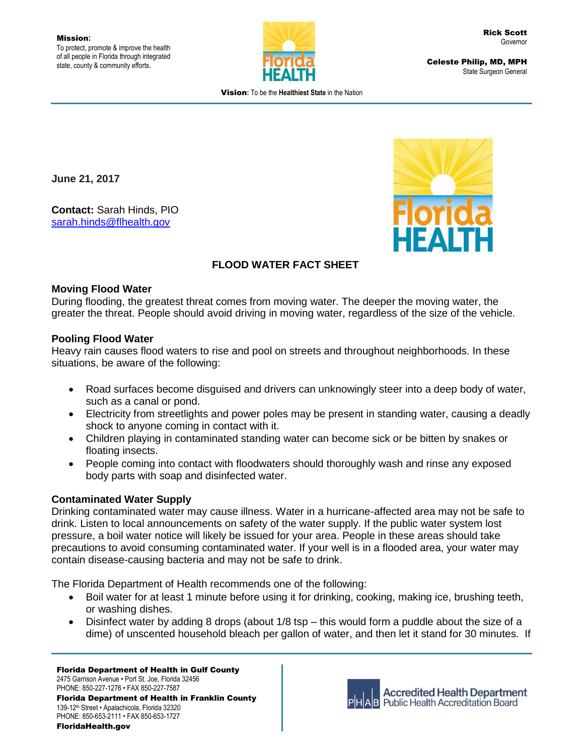

Celeste Philip, MD, MPH State Surgeon General

Vision**:** To be the **Healthiest State** in the Nation

**June 21, 2017**

**Contact:** Sarah Hinds, PIO [sarah.hinds@flhealth.gov](mailto:sarah.hinds@flhealth.gov)



# **FLOOD WATER FACT SHEET**

### **Moving Flood Water**

During flooding, the greatest threat comes from moving water. The deeper the moving water, the greater the threat. People should avoid driving in moving water, regardless of the size of the vehicle.

## **Pooling Flood Water**

Heavy rain causes flood waters to rise and pool on streets and throughout neighborhoods. In these situations, be aware of the following:

- Road surfaces become disguised and drivers can unknowingly steer into a deep body of water, such as a canal or pond.
- Electricity from streetlights and power poles may be present in standing water, causing a deadly shock to anyone coming in contact with it.
- Children playing in contaminated standing water can become sick or be bitten by snakes or floating insects.
- People coming into contact with floodwaters should thoroughly wash and rinse any exposed body parts with soap and disinfected water.

## **Contaminated Water Supply**

Drinking contaminated water may cause illness. Water in a hurricane-affected area may not be safe to drink. Listen to local announcements on safety of the water supply. If the public water system lost pressure, a boil water notice will likely be issued for your area. People in these areas should take precautions to avoid consuming contaminated water. If your well is in a flooded area, your water may contain disease-causing bacteria and may not be safe to drink.

The Florida Department of Health recommends one of the following:

- Boil water for at least 1 minute before using it for drinking, cooking, making ice, brushing teeth, or washing dishes.
- Disinfect water by adding 8 drops (about 1/8 tsp this would form a puddle about the size of a dime) of unscented household bleach per gallon of water, and then let it stand for 30 minutes. If

Florida Department of Health in Gulf County 2475 Garrison Avenue • Port St. Joe, Florida 32456 PHONE: 850-227-1276 • FAX 850-227-7587 Florida Department of Health in Franklin County 139-12th Street • Apalachicola, Florida 32320 PHONE: 850-653-2111 • FAX 850-653-1727 FloridaHealth.gov